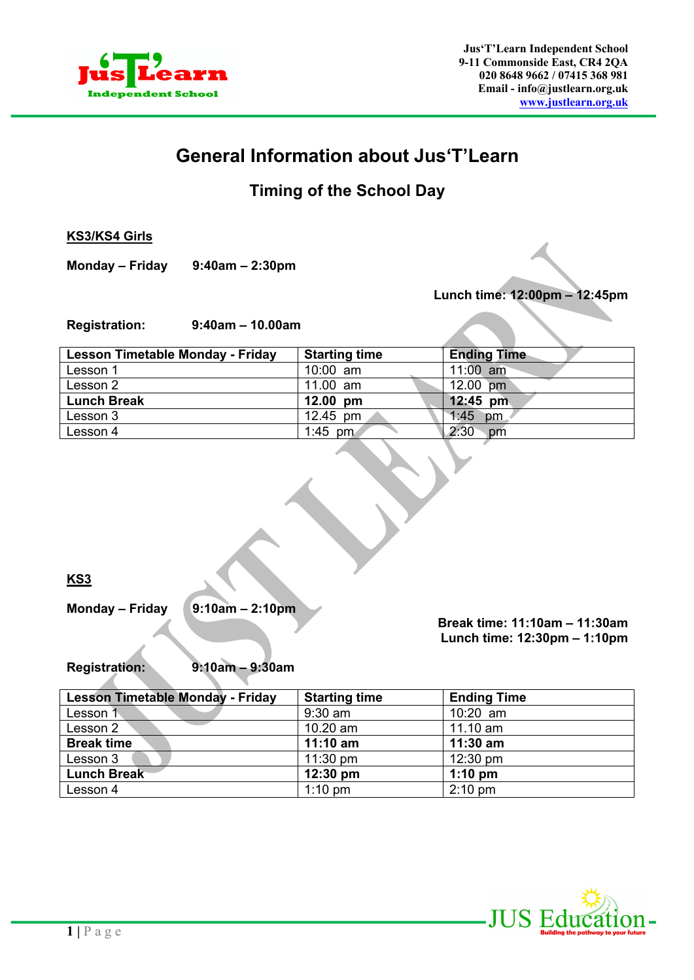

# **General Information about Jus'T'Learn**

# **Timing of the School Day**

**KS3/KS4 Girls**

**Monday – Friday 9:40am – 2:30pm**

**Lunch time: 12:00pm – 12:45pm**

**Registration: 9:40am – 10.00am** 

| Lesson Timetable Monday - Friday | <b>Starting time</b> | <b>Ending Time</b> |
|----------------------------------|----------------------|--------------------|
| Lesson 1                         | $10:00$ am           | 11:00 $am$         |
| Lesson 2                         | 11.00 $am$           | 12.00 pm           |
| <b>Lunch Break</b>               | $12.00 \text{ pm}$   | $12:45$ pm         |
| Lesson 3                         | 12.45 $pm$           | 1:45<br>pm         |
| Lesson 4                         | 1:45 pm              | 2:30<br>pm         |

**KS3** 

**Monday – Friday 9:10am – 2:10pm**

 **Break time: 11:10am – 11:30am Lunch time: 12:30pm – 1:10pm**

 $\mathcal{L}$ 

**Registration: 9:10am – 9:30am** 

| <b>Lesson Timetable Monday - Friday</b> | <b>Starting time</b> | <b>Ending Time</b> |
|-----------------------------------------|----------------------|--------------------|
| Lesson 1                                | $9:30$ am            | $10:20$ am         |
| Lesson 2                                | $10.20$ am           | $11.10$ am         |
| <b>Break time</b>                       | $11:10$ am           | $11:30$ am         |
| Lesson 3                                | $11:30 \text{ pm}$   | $12:30 \text{ pm}$ |
| <b>Lunch Break</b>                      | $12:30 \text{ pm}$   | $1:10$ pm          |
| Lesson 4                                | $1:10$ pm            | $2:10 \text{ pm}$  |

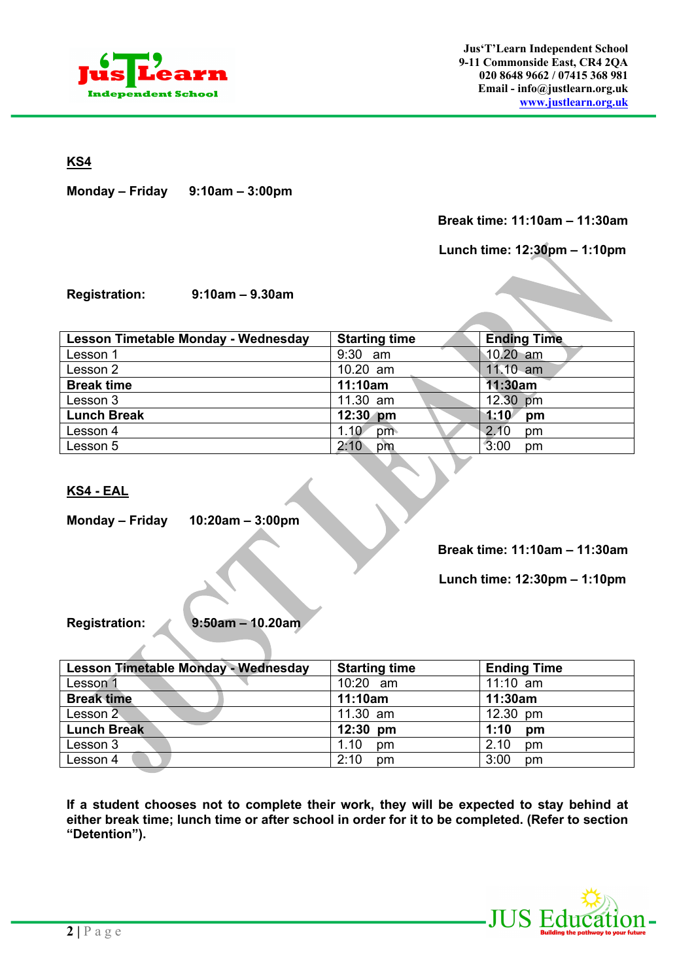

**KS4**

**Monday – Friday 9:10am – 3:00pm**

# **Break time: 11:10am – 11:30am**

 **Lunch time: 12:30pm – 1:10pm** 

**Registration: 9:10am – 9.30am** 

| Lesson Timetable Monday - Wednesday | <b>Starting time</b> | <b>Ending Time</b> |
|-------------------------------------|----------------------|--------------------|
| Lesson 1                            | 9:30 am              | $10.20$ am         |
| Lesson 2                            | 10.20 am             | $11.10$ am         |
| <b>Break time</b>                   | 11:10am              | 11:30am            |
| Lesson 3                            | 11.30 am             | 12.30 pm           |
| <b>Lunch Break</b>                  | $12:30$ pm           | 1:10<br>pm         |
| Lesson 4                            | 1.10<br>pm           | 2.10<br>pm         |
| Lesson 5                            | 2:10<br>pm           | 3:00<br>pm         |

## **KS4 - EAL**

**Monday – Friday 10:20am – 3:00pm**

**Break time: 11:10am – 11:30am**

 **Lunch time: 12:30pm – 1:10pm** 

 $\mathcal{L}$ 

**Registration: 9:50am – 10.20am** 

| Lesson Timetable Monday - Wednesday | <b>Starting time</b> | <b>Ending Time</b> |
|-------------------------------------|----------------------|--------------------|
| Lesson                              | 10:20 am             | $11:10$ am         |
| <b>Break time</b>                   | 11:10am              | 11:30am            |
| Lesson 2                            | 11.30 am             | 12.30 pm           |
| <b>Lunch Break</b>                  | $12:30$ pm           | 1:10<br>pm         |
| Lesson 3                            | 1.10<br>pm           | 2.10<br>pm         |
| Lesson 4                            | 2:10<br>pm           | 3:00<br>pm         |

**If a student chooses not to complete their work, they will be expected to stay behind at either break time; lunch time or after school in order for it to be completed. (Refer to section "Detention").**

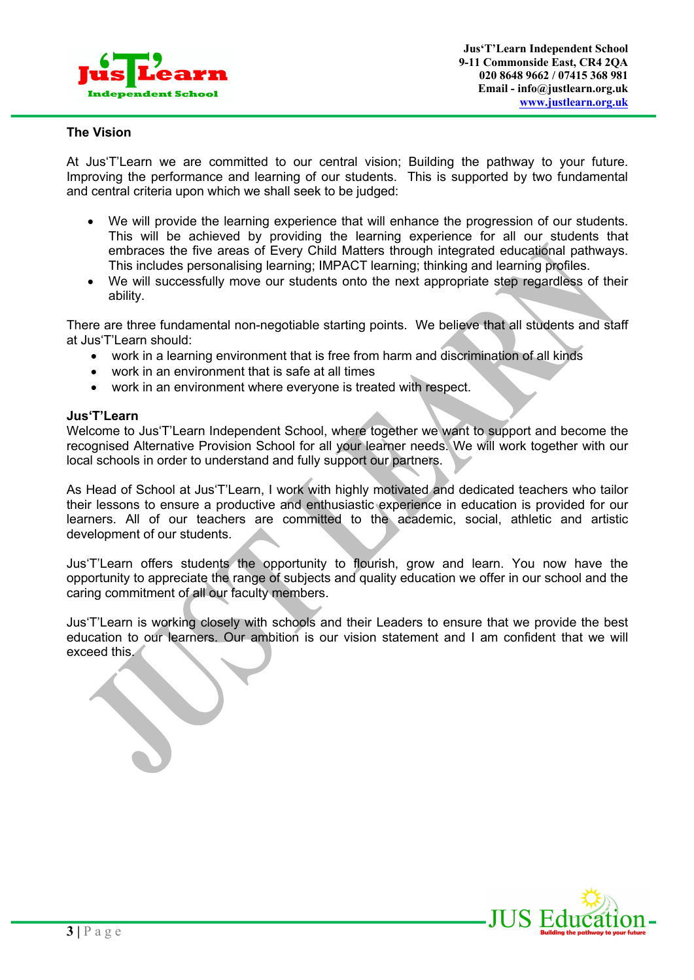

#### **The Vision**

At Jus'T'Learn we are committed to our central vision; Building the pathway to your future. Improving the performance and learning of our students. This is supported by two fundamental and central criteria upon which we shall seek to be judged:

- We will provide the learning experience that will enhance the progression of our students. This will be achieved by providing the learning experience for all our students that embraces the five areas of Every Child Matters through integrated educational pathways. This includes personalising learning; IMPACT learning; thinking and learning profiles.
- We will successfully move our students onto the next appropriate step regardless of their ability.

There are three fundamental non-negotiable starting points. We believe that all students and staff at Jus'T'Learn should:

- work in a learning environment that is free from harm and discrimination of all kinds
- work in an environment that is safe at all times
- work in an environment where everyone is treated with respect.

#### **Jus'T'Learn**

Welcome to Jus'T'Learn Independent School, where together we want to support and become the recognised Alternative Provision School for all your learner needs. We will work together with our local schools in order to understand and fully support our partners.

As Head of School at Jus'T'Learn, I work with highly motivated and dedicated teachers who tailor their lessons to ensure a productive and enthusiastic experience in education is provided for our learners. All of our teachers are committed to the academic, social, athletic and artistic development of our students.

Jus'T'Learn offers students the opportunity to flourish, grow and learn. You now have the opportunity to appreciate the range of subjects and quality education we offer in our school and the caring commitment of all our faculty members.

Jus'T'Learn is working closely with schools and their Leaders to ensure that we provide the best education to our learners. Our ambition is our vision statement and I am confident that we will exceed this.

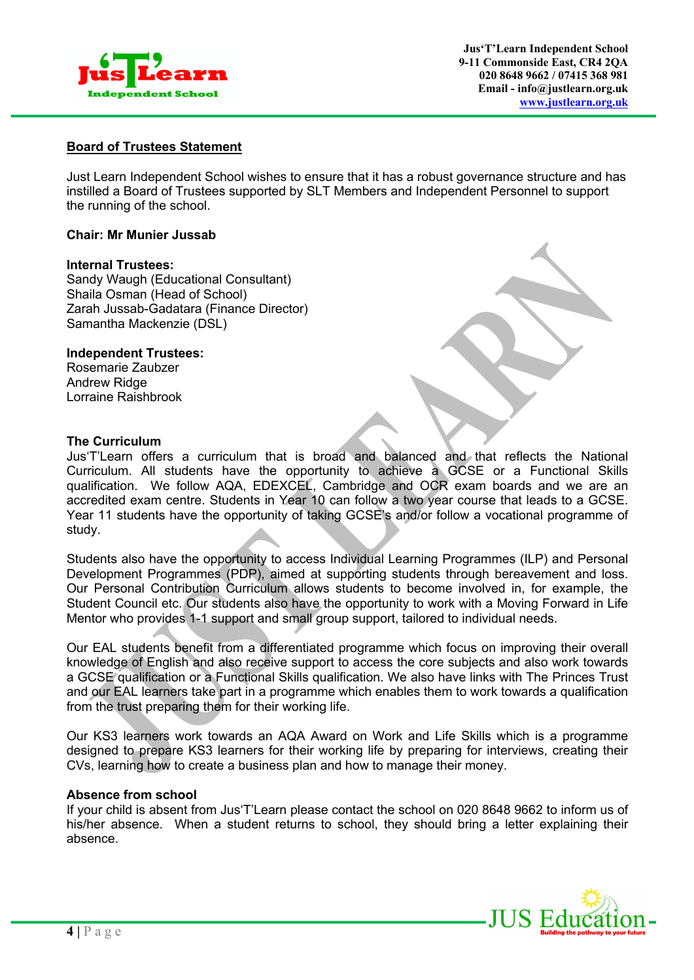

# **Board of Trustees Statement**

Just Learn Independent School wishes to ensure that it has a robust governance structure and has instilled a Board of Trustees supported by SLT Members and Independent Personnel to support the running of the school.

#### **Chair: Mr Munier Jussab**

#### **Internal Trustees:**

Sandy Waugh (Educational Consultant) Shaila Osman (Head of School) Zarah Jussab-Gadatara (Finance Director) Samantha Mackenzie (DSL)

#### **Independent Trustees:**

Rosemarie Zaubzer Andrew Ridge Lorraine Raishbrook

## **The Curriculum**

Jus'T'Learn offers a curriculum that is broad and balanced and that reflects the National Curriculum. All students have the opportunity to achieve a GCSE or a Functional Skills qualification. We follow AQA, EDEXCEL, Cambridge and OCR exam boards and we are an accredited exam centre. Students in Year 10 can follow a two year course that leads to a GCSE. Year 11 students have the opportunity of taking GCSE's and/or follow a vocational programme of study.

Students also have the opportunity to access Individual Learning Programmes (ILP) and Personal Development Programmes (PDP), aimed at supporting students through bereavement and loss. Our Personal Contribution Curriculum allows students to become involved in, for example, the Student Council etc. Our students also have the opportunity to work with a Moving Forward in Life Mentor who provides 1-1 support and small group support, tailored to individual needs.

Our EAL students benefit from a differentiated programme which focus on improving their overall knowledge of English and also receive support to access the core subjects and also work towards a GCSE qualification or a Functional Skills qualification. We also have links with The Princes Trust and our EAL learners take part in a programme which enables them to work towards a qualification from the trust preparing them for their working life.

Our KS3 learners work towards an AQA Award on Work and Life Skills which is a programme designed to prepare KS3 learners for their working life by preparing for interviews, creating their CVs, learning how to create a business plan and how to manage their money.

#### **Absence from school**

If your child is absent from Jus'T'Learn please contact the school on 020 8648 9662 to inform us of his/her absence. When a student returns to school, they should bring a letter explaining their absence.

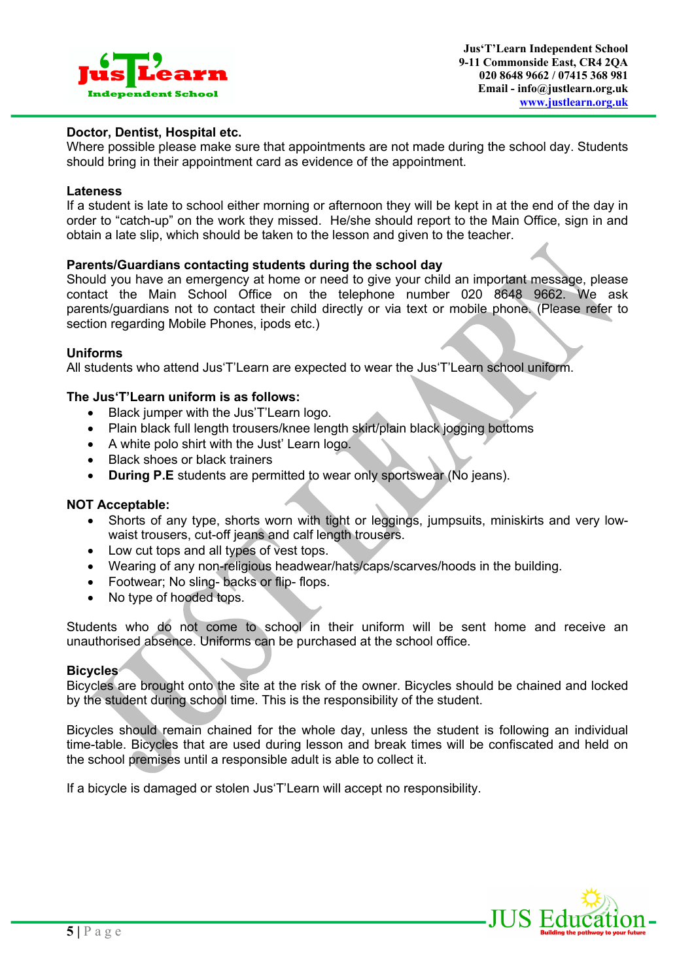

#### **Doctor, Dentist, Hospital etc.**

Where possible please make sure that appointments are not made during the school day. Students should bring in their appointment card as evidence of the appointment.

#### **Lateness**

If a student is late to school either morning or afternoon they will be kept in at the end of the day in order to "catch-up" on the work they missed. He/she should report to the Main Office, sign in and obtain a late slip, which should be taken to the lesson and given to the teacher.

#### **Parents/Guardians contacting students during the school day**

Should you have an emergency at home or need to give your child an important message, please contact the Main School Office on the telephone number 020 8648 9662. We ask parents/guardians not to contact their child directly or via text or mobile phone. (Please refer to section regarding Mobile Phones, ipods etc.)

#### **Uniforms**

All students who attend Jus'T'Learn are expected to wear the Jus'T'Learn school uniform.

#### **The Jus'T'Learn uniform is as follows:**

- Black jumper with the Jus'T'Learn logo.
- Plain black full length trousers/knee length skirt/plain black jogging bottoms
- A white polo shirt with the Just' Learn logo.
- Black shoes or black trainers
- **During P.E** students are permitted to wear only sportswear (No jeans).

#### **NOT Acceptable:**

- Shorts of any type, shorts worn with tight or leggings, jumpsuits, miniskirts and very lowwaist trousers, cut-off jeans and calf length trousers.
- Low cut tops and all types of vest tops.
- Wearing of any non-religious headwear/hats/caps/scarves/hoods in the building.
- Footwear; No sling- backs or flip- flops.
- No type of hooded tops.

Students who do not come to school in their uniform will be sent home and receive an unauthorised absence. Uniforms can be purchased at the school office.

#### **Bicycles**

Bicycles are brought onto the site at the risk of the owner. Bicycles should be chained and locked by the student during school time. This is the responsibility of the student.

Bicycles should remain chained for the whole day, unless the student is following an individual time-table. Bicycles that are used during lesson and break times will be confiscated and held on the school premises until a responsible adult is able to collect it.

If a bicycle is damaged or stolen Jus'T'Learn will accept no responsibility.

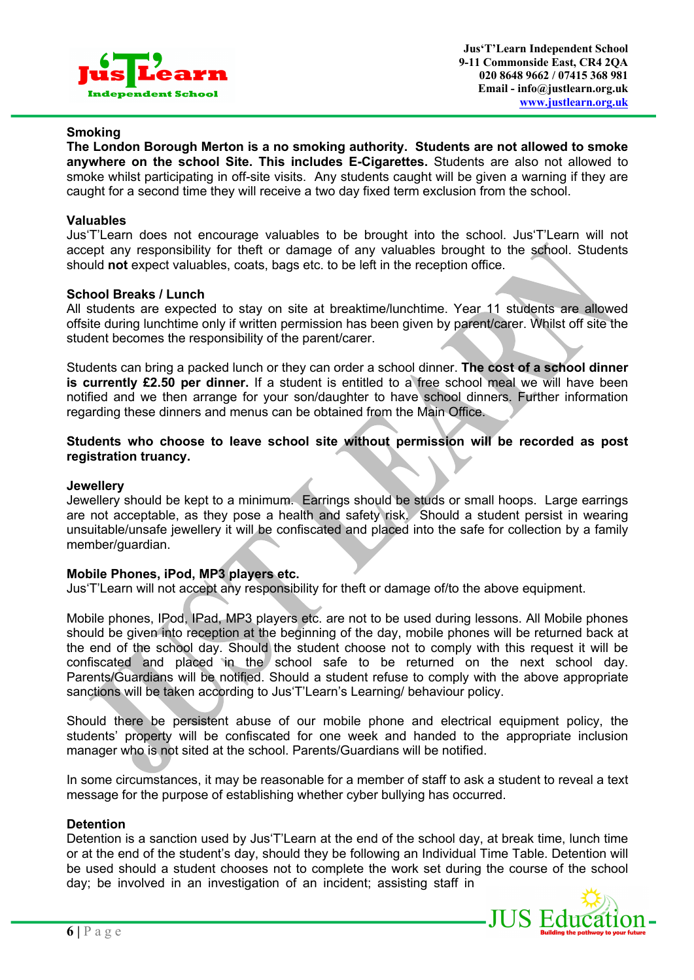

#### **Smoking**

**The London Borough Merton is a no smoking authority. Students are not allowed to smoke anywhere on the school Site. This includes E-Cigarettes.** Students are also not allowed to smoke whilst participating in off-site visits. Any students caught will be given a warning if they are caught for a second time they will receive a two day fixed term exclusion from the school.

#### **Valuables**

Jus'T'Learn does not encourage valuables to be brought into the school. Jus'T'Learn will not accept any responsibility for theft or damage of any valuables brought to the school. Students should **not** expect valuables, coats, bags etc. to be left in the reception office.

#### **School Breaks / Lunch**

All students are expected to stay on site at breaktime/lunchtime. Year 11 students are allowed offsite during lunchtime only if written permission has been given by parent/carer. Whilst off site the student becomes the responsibility of the parent/carer.

Students can bring a packed lunch or they can order a school dinner. **The cost of a school dinner is currently £2.50 per dinner.** If a student is entitled to a free school meal we will have been notified and we then arrange for your son/daughter to have school dinners. Further information regarding these dinners and menus can be obtained from the Main Office.

#### **Students who choose to leave school site without permission will be recorded as post registration truancy.**

#### **Jewellery**

Jewellery should be kept to a minimum. Earrings should be studs or small hoops. Large earrings are not acceptable, as they pose a health and safety risk. Should a student persist in wearing unsuitable/unsafe jewellery it will be confiscated and placed into the safe for collection by a family member/guardian.

#### **Mobile Phones, iPod, MP3 players etc.**

Jus'T'Learn will not accept any responsibility for theft or damage of/to the above equipment.

Mobile phones, IPod, IPad, MP3 players etc. are not to be used during lessons. All Mobile phones should be given into reception at the beginning of the day, mobile phones will be returned back at the end of the school day. Should the student choose not to comply with this request it will be confiscated and placed in the school safe to be returned on the next school day. Parents/Guardians will be notified. Should a student refuse to comply with the above appropriate sanctions will be taken according to Jus'T'Learn's Learning/ behaviour policy.

Should there be persistent abuse of our mobile phone and electrical equipment policy, the students' property will be confiscated for one week and handed to the appropriate inclusion manager who is not sited at the school. Parents/Guardians will be notified.

In some circumstances, it may be reasonable for a member of staff to ask a student to reveal a text message for the purpose of establishing whether cyber bullying has occurred.

#### **Detention**

Detention is a sanction used by Jus'T'Learn at the end of the school day, at break time, lunch time or at the end of the student's day, should they be following an Individual Time Table. Detention will be used should a student chooses not to complete the work set during the course of the school day; be involved in an investigation of an incident; assisting staff in

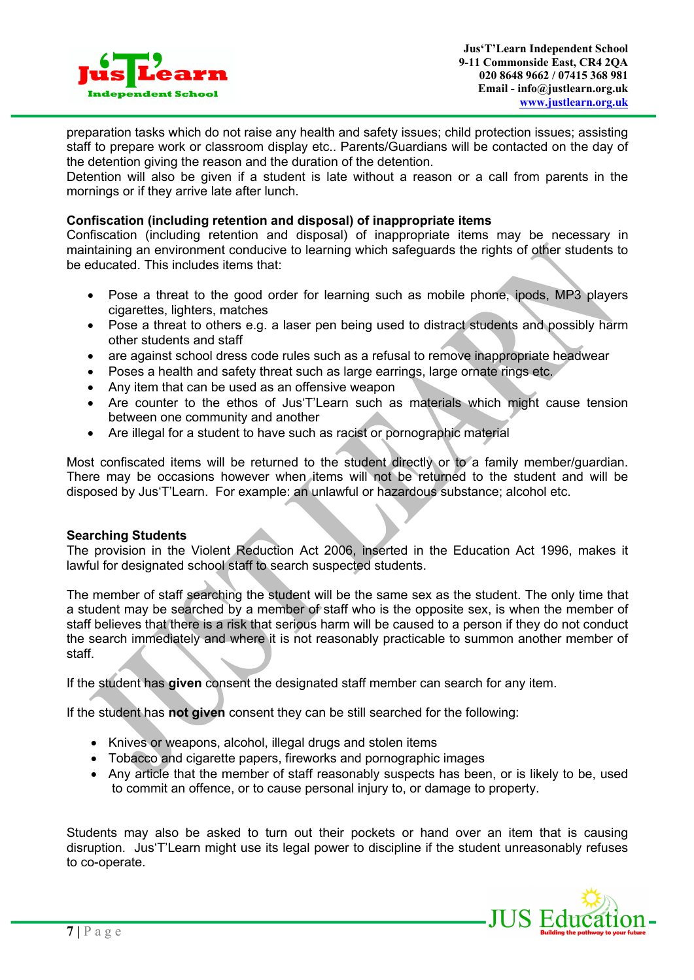

preparation tasks which do not raise any health and safety issues; child protection issues; assisting staff to prepare work or classroom display etc.. Parents/Guardians will be contacted on the day of the detention giving the reason and the duration of the detention.

Detention will also be given if a student is late without a reason or a call from parents in the mornings or if they arrive late after lunch.

#### **Confiscation (including retention and disposal) of inappropriate items**

Confiscation (including retention and disposal) of inappropriate items may be necessary in maintaining an environment conducive to learning which safeguards the rights of other students to be educated. This includes items that:

- Pose a threat to the good order for learning such as mobile phone, ipods, MP3 players cigarettes, lighters, matches
- Pose a threat to others e.g. a laser pen being used to distract students and possibly harm other students and staff
- are against school dress code rules such as a refusal to remove inappropriate headwear
- Poses a health and safety threat such as large earrings, large ornate rings etc.
- Any item that can be used as an offensive weapon
- Are counter to the ethos of Jus'T'Learn such as materials which might cause tension between one community and another
- Are illegal for a student to have such as racist or pornographic material

Most confiscated items will be returned to the student directly or to a family member/guardian. There may be occasions however when items will not be returned to the student and will be disposed by Jus'T'Learn. For example: an unlawful or hazardous substance; alcohol etc.

#### **Searching Students**

The provision in the Violent Reduction Act 2006, inserted in the Education Act 1996, makes it lawful for designated school staff to search suspected students.

The member of staff searching the student will be the same sex as the student. The only time that a student may be searched by a member of staff who is the opposite sex, is when the member of staff believes that there is a risk that serious harm will be caused to a person if they do not conduct the search immediately and where it is not reasonably practicable to summon another member of staff.

If the student has **given** consent the designated staff member can search for any item.

If the student has **not given** consent they can be still searched for the following:

- Knives or weapons, alcohol, illegal drugs and stolen items
- Tobacco and cigarette papers, fireworks and pornographic images
- Any article that the member of staff reasonably suspects has been, or is likely to be, used to commit an offence, or to cause personal injury to, or damage to property.

Students may also be asked to turn out their pockets or hand over an item that is causing disruption. Jus'T'Learn might use its legal power to discipline if the student unreasonably refuses to co-operate.

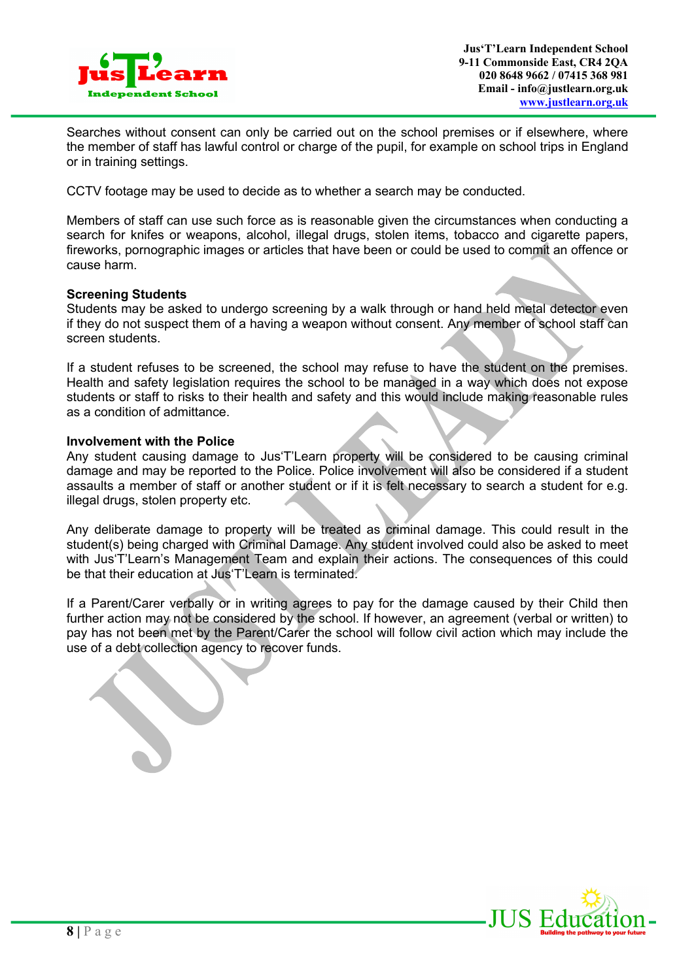

Searches without consent can only be carried out on the school premises or if elsewhere, where the member of staff has lawful control or charge of the pupil, for example on school trips in England or in training settings.

CCTV footage may be used to decide as to whether a search may be conducted.

Members of staff can use such force as is reasonable given the circumstances when conducting a search for knifes or weapons, alcohol, illegal drugs, stolen items, tobacco and cigarette papers, fireworks, pornographic images or articles that have been or could be used to commit an offence or cause harm.

#### **Screening Students**

Students may be asked to undergo screening by a walk through or hand held metal detector even if they do not suspect them of a having a weapon without consent. Any member of school staff can screen students.

If a student refuses to be screened, the school may refuse to have the student on the premises. Health and safety legislation requires the school to be managed in a way which does not expose students or staff to risks to their health and safety and this would include making reasonable rules as a condition of admittance.

#### **Involvement with the Police**

Any student causing damage to Jus'T'Learn property will be considered to be causing criminal damage and may be reported to the Police. Police involvement will also be considered if a student assaults a member of staff or another student or if it is felt necessary to search a student for e.g. illegal drugs, stolen property etc.

Any deliberate damage to property will be treated as criminal damage. This could result in the student(s) being charged with Criminal Damage. Any student involved could also be asked to meet with Jus'T'Learn's Management Team and explain their actions. The consequences of this could be that their education at Jus'T'Learn is terminated.

If a Parent/Carer verbally or in writing agrees to pay for the damage caused by their Child then further action may not be considered by the school. If however, an agreement (verbal or written) to pay has not been met by the Parent/Carer the school will follow civil action which may include the use of a debt collection agency to recover funds.

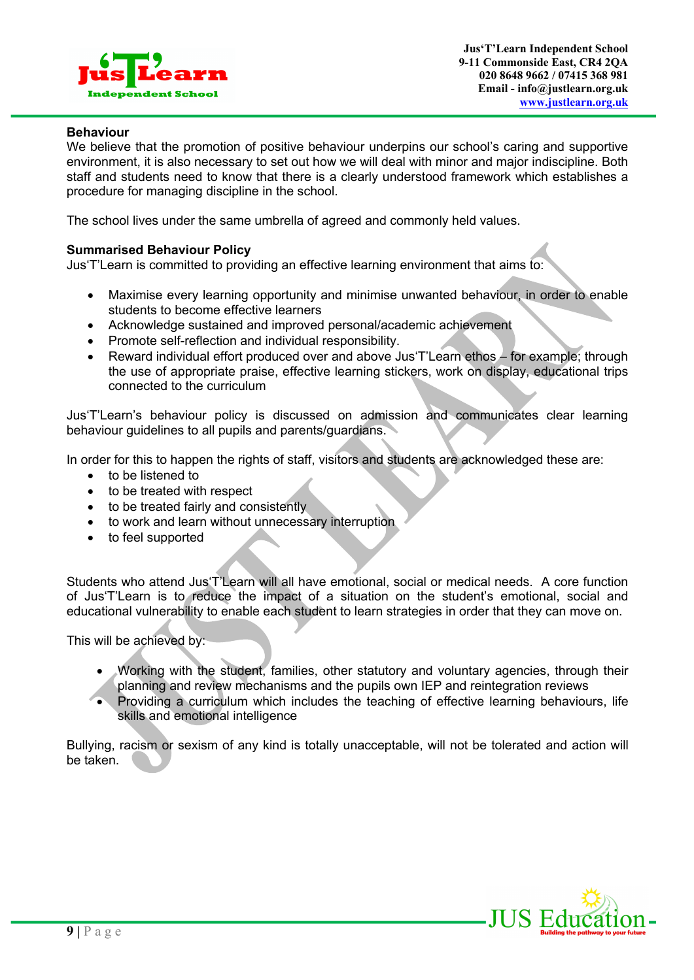

#### **Behaviour**

We believe that the promotion of positive behaviour underpins our school's caring and supportive environment, it is also necessary to set out how we will deal with minor and major indiscipline. Both staff and students need to know that there is a clearly understood framework which establishes a procedure for managing discipline in the school.

The school lives under the same umbrella of agreed and commonly held values.

#### **Summarised Behaviour Policy**

Jus'T'Learn is committed to providing an effective learning environment that aims to:

- Maximise every learning opportunity and minimise unwanted behaviour, in order to enable students to become effective learners
- Acknowledge sustained and improved personal/academic achievement
- Promote self-reflection and individual responsibility.
- Reward individual effort produced over and above Jus'T'Learn ethos for example; through the use of appropriate praise, effective learning stickers, work on display, educational trips connected to the curriculum

Jus'T'Learn's behaviour policy is discussed on admission and communicates clear learning behaviour guidelines to all pupils and parents/guardians.

In order for this to happen the rights of staff, visitors and students are acknowledged these are:

- to be listened to
- to be treated with respect
- to be treated fairly and consistently
- to work and learn without unnecessary interruption
- to feel supported

Students who attend Jus'T'Learn will all have emotional, social or medical needs. A core function of Jus'T'Learn is to reduce the impact of a situation on the student's emotional, social and educational vulnerability to enable each student to learn strategies in order that they can move on.

This will be achieved by:

- Working with the student, families, other statutory and voluntary agencies, through their planning and review mechanisms and the pupils own IEP and reintegration reviews
- Providing a curriculum which includes the teaching of effective learning behaviours, life skills and emotional intelligence

Bullying, racism or sexism of any kind is totally unacceptable, will not be tolerated and action will be taken.